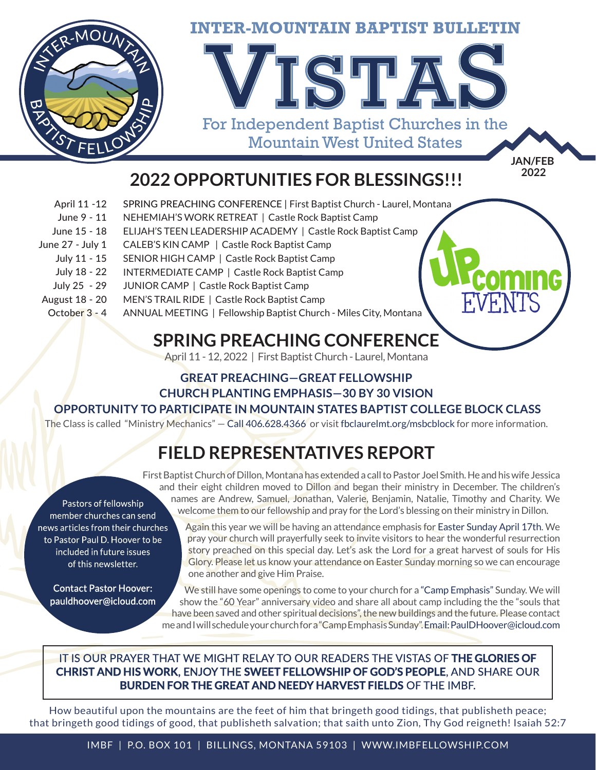

# **<sup>2022</sup> 2022 OPPORTUNITIES FOR BLESSINGS!!!**

- SPRING PREACHING CONFERENCE | First Baptist Church Laurel, Montana April 11 -12
- NEHEMIAH'S WORK RETREAT | Castle Rock Baptist Camp June 9 - 11
- ELIJAH'S TEEN LEADERSHIP ACADEMY | Castle Rock Baptist Camp June 15 - 18
- CALEB'S KIN CAMP | Castle Rock Baptist Camp June 27 - July 1
	- SENIOR HIGH CAMP | Castle Rock Baptist Camp July 11 - 15
	- INTERMEDIATE CAMP | Castle Rock Baptist Camp July 18 - 22
	- JUNIOR CAMP | Castle Rock Baptist Camp July 25 - 29
- MEN'S TRAIL RIDE | Castle Rock Baptist Camp August 18 - 20
- ANNUAL MEETING | Fellowship Baptist Church Miles City, Montana October 3 - 4

## **SPRING PREACHING CONFERENCE**

April 11 - 12, 2022 | First Baptist Church - Laurel, Montana

### **GREAT PREACHING—GREAT FELLOWSHIP CHURCH PLANTING EMPHASIS—30 BY 30 VISION**

#### **OPPORTUNITY TO PARTICIPATE IN MOUNTAIN STATES BAPTIST COLLEGE BLOCK CLASS**

The Class is called "Ministry Mechanics" — Call 406.628.4366 or visit fbclaurelmt.org/msbcblock for more information.

# **FIELD REPRESENTATIVES REPORT**

Pastors of fellowship member churches can send news articles from their churches to Pastor Paul D. Hoover to be included in future issues of this newsletter.

**Contact Pastor Hoover:** pauldhoover@icloud.com

First Baptist Church of Dillon, Montana has extended a call to Pastor Joel Smith. He and his wife Jessica and their eight children moved to Dillon and began their ministry in December. The children's names are Andrew, Samuel, Jonathan, Valerie, Benjamin, Natalie, Timothy and Charity. We welcome them to our fellowship and pray for the Lord's blessing on their ministry in Dillon.

Again this year we will be having an attendance emphasis for Easter Sunday April 17th. We pray your church will prayerfully seek to invite visitors to hear the wonderful resurrection story preached on this special day. Let's ask the Lord for a great harvest of souls for His Glory. Please let us know your attendance on Easter Sunday morning so we can encourage one another and give Him Praise.

FVENTS

We still have some openings to come to your church for a "Camp Emphasis" Sunday. We will show the "60 Year" anniversary video and share all about camp including the the "souls that have been saved and other spiritual decisions", the new buildings and the future. Please contact me and I will schedule your church for a "Camp Emphasis Sunday". Email: PaulDHoover@icloud.com

### IT IS OUR PRAYER THAT WE MIGHT RELAY TO OUR READERS THE VISTAS OF THE GLORIES OF **CHRIST AND HIS WORK. ENJOY THE SWEET FELLOWSHIP OF GOD'S PEOPLE.** AND SHARE OUR **BURDEN FOR THE GREAT AND NEEDY HARVEST FIELDS OF THE IMBF.**

How beautiful upon the mountains are the feet of him that bringeth good tidings, that publisheth peace; that bringeth good tidings of good, that publisheth salvation; that saith unto Zion, Thy God reigneth! Isaiah 52:7